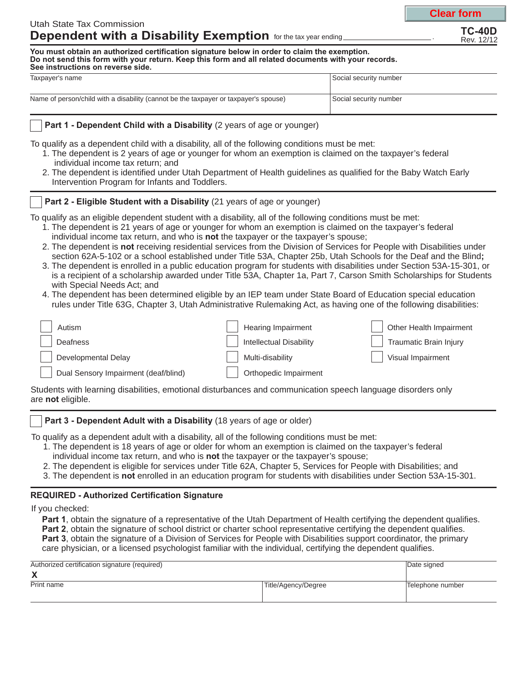**Clear form**

**You must obtain an authorized certification signature below in order to claim the exemption.** Do not send this form with your return. Keep this form and all related documents with your records. **See instructions on reverse side.**

| Taxpayer's name                                                                      | Social security number |
|--------------------------------------------------------------------------------------|------------------------|
|                                                                                      |                        |
| Name of person/child with a disability (cannot be the taxpayer or taxpayer's spouse) | Social security number |
|                                                                                      |                        |

### **Part 1 - Dependent Child with a Disability** (2 years of age or younger)

To qualify as a dependent child with a disability, all of the following conditions must be met:

- 1. The dependent is 2 years of age or younger for whom an exemption is claimed on the taxpayer's federal individual income tax return; and
- 2. The dependent is identified under Utah Department of Health guidelines as qualified for the Baby Watch Early Intervention Program for Infants and Toddlers.

# **Part 2 - Eligible Student with a Disability** (21 years of age or younger)

To qualify as an eligible dependent student with a disability, all of the following conditions must be met:

- 1. The dependent is 21 years of age or younger for whom an exemption is claimed on the taxpayer's federal individual income tax return, and who is not the taxpayer or the taxpayer's spouse;
- 2. The dependent is not receiving residential services from the Division of Services for People with Disabilities under section 62A-5-102 or a school established under Title 53A, Chapter 25b, Utah Schools for the Deaf and the Blind **;**
- 3. The dependent is enrolled in a public education program for students with disabilities under Section 53A-15-301, or is a recipient of a scholarship awarded under Title 53A, Chapter 1a, Part 7, Carson Smith Scholarships for Students with Special Needs Act; and
- 4. The dependent has been determined eligible by an IEP team under State Board of Education special education rules under Title 63G, Chapter 3, Utah Administrative Rulemaking Act, as having one of the following disabilities:

| Autism                               | Hearing Impairment             | Other Health Impairment       |
|--------------------------------------|--------------------------------|-------------------------------|
| <b>Deafness</b>                      | <b>Intellectual Disability</b> | <b>Traumatic Brain Injury</b> |
| <b>Developmental Delay</b>           | Multi-disability               | Visual Impairment             |
| Dual Sensory Impairment (deaf/blind) | Orthopedic Impairment          |                               |
|                                      |                                |                               |

Students with learning disabilities, emotional disturbances and communication speech language disorders only are not eligible.

# **Part 3 - Dependent Adult with a Disability** (18 years of age or older)

To qualify as a dependent adult with a disability, all of the following conditions must be met:

- 1. The dependent is 18 years of age or older for whom an exemption is claimed on the taxpayer's federal individual income tax return, and who is not the taxpayer or the taxpayer's spouse;
- 2. The dependent is eligible for services under Title 62A, Chapter 5, Services for People with Disabilities; and
- 3. The dependent is not enrolled in an education program for students with disabilities under Section 53A-15-301.

# **REQUIRED - Authorized Certification Signature**

If you checked:

**Part 1** , obtain the signature of a representative of the Utah Department of Health certifying the dependent qualifies. Part 2, obtain the signature of school district or charter school representative certifying the dependent qualifies. **Part 3** , obtain the signature of a Division of Services for People with Disabilities support coordinator, the primary care physician, or a licensed psychologist familiar with the individual, certifying the dependent qualifies.

| Authorized certification signature (required) |                     | Date signed      |
|-----------------------------------------------|---------------------|------------------|
| Х                                             |                     |                  |
| Print name                                    | Title/Agency/Degree | Telephone number |